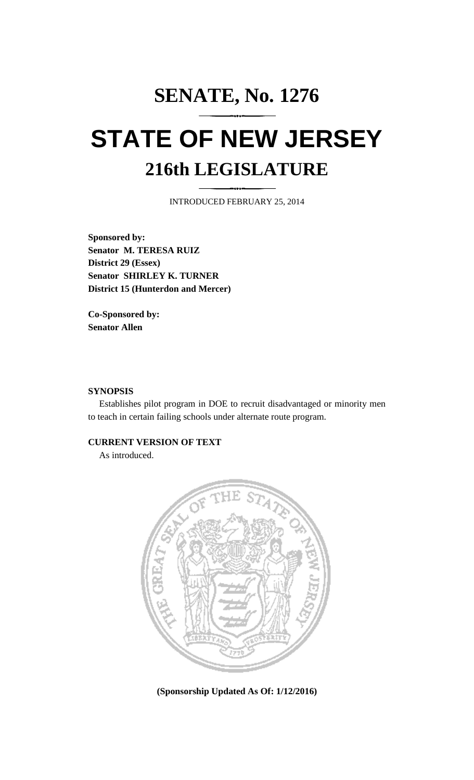# **SENATE, No. 1276 STATE OF NEW JERSEY 216th LEGISLATURE**

INTRODUCED FEBRUARY 25, 2014

**Sponsored by: Senator M. TERESA RUIZ District 29 (Essex) Senator SHIRLEY K. TURNER District 15 (Hunterdon and Mercer)**

**Co-Sponsored by: Senator Allen**

## **SYNOPSIS**

Establishes pilot program in DOE to recruit disadvantaged or minority men to teach in certain failing schools under alternate route program.

## **CURRENT VERSION OF TEXT**

As introduced.



**(Sponsorship Updated As Of: 1/12/2016)**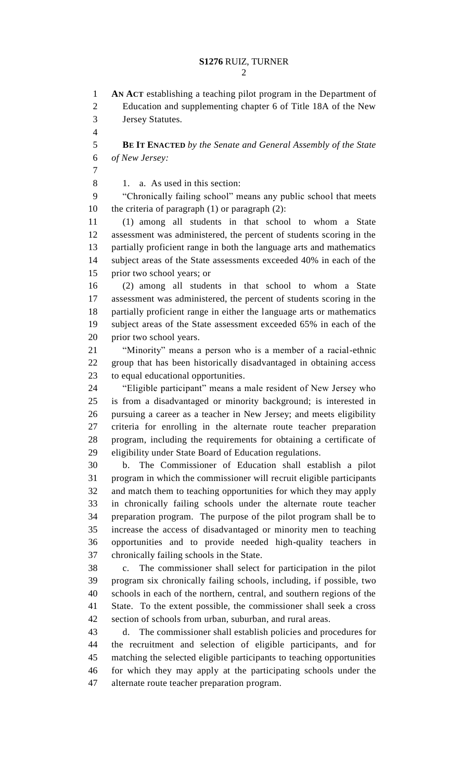**AN ACT** establishing a teaching pilot program in the Department of Education and supplementing chapter 6 of Title 18A of the New Jersey Statutes. **BE IT ENACTED** *by the Senate and General Assembly of the State of New Jersey:* 8 1. a. As used in this section: "Chronically failing school" means any public school that meets the criteria of paragraph (1) or paragraph (2): (1) among all students in that school to whom a State assessment was administered, the percent of students scoring in the partially proficient range in both the language arts and mathematics subject areas of the State assessments exceeded 40% in each of the prior two school years; or (2) among all students in that school to whom a State assessment was administered, the percent of students scoring in the partially proficient range in either the language arts or mathematics subject areas of the State assessment exceeded 65% in each of the prior two school years. "Minority" means a person who is a member of a racial-ethnic group that has been historically disadvantaged in obtaining access to equal educational opportunities. "Eligible participant" means a male resident of New Jersey who is from a disadvantaged or minority background; is interested in pursuing a career as a teacher in New Jersey; and meets eligibility criteria for enrolling in the alternate route teacher preparation program, including the requirements for obtaining a certificate of eligibility under State Board of Education regulations. b. The Commissioner of Education shall establish a pilot program in which the commissioner will recruit eligible participants and match them to teaching opportunities for which they may apply in chronically failing schools under the alternate route teacher preparation program. The purpose of the pilot program shall be to increase the access of disadvantaged or minority men to teaching opportunities and to provide needed high-quality teachers in chronically failing schools in the State. c. The commissioner shall select for participation in the pilot program six chronically failing schools, including, if possible, two schools in each of the northern, central, and southern regions of the State. To the extent possible, the commissioner shall seek a cross section of schools from urban, suburban, and rural areas. d. The commissioner shall establish policies and procedures for the recruitment and selection of eligible participants, and for matching the selected eligible participants to teaching opportunities for which they may apply at the participating schools under the alternate route teacher preparation program.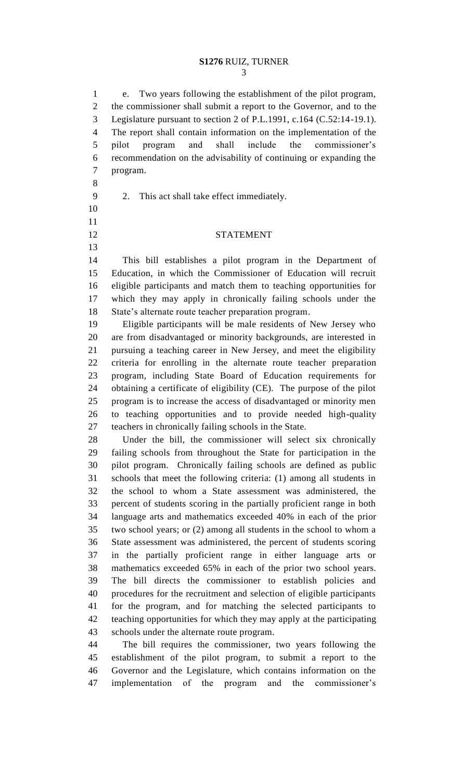## **S1276** RUIZ, TURNER

 e. Two years following the establishment of the pilot program, the commissioner shall submit a report to the Governor, and to the Legislature pursuant to section 2 of P.L.1991, c.164 (C.52:14-19.1). The report shall contain information on the implementation of the pilot program and shall include the commissioner's recommendation on the advisability of continuing or expanding the program.

- 
- 2. This act shall take effect immediately.
- 
- 

## STATEMENT

 This bill establishes a pilot program in the Department of Education, in which the Commissioner of Education will recruit eligible participants and match them to teaching opportunities for which they may apply in chronically failing schools under the State's alternate route teacher preparation program.

 Eligible participants will be male residents of New Jersey who are from disadvantaged or minority backgrounds, are interested in pursuing a teaching career in New Jersey, and meet the eligibility criteria for enrolling in the alternate route teacher preparation program, including State Board of Education requirements for obtaining a certificate of eligibility (CE). The purpose of the pilot program is to increase the access of disadvantaged or minority men to teaching opportunities and to provide needed high-quality teachers in chronically failing schools in the State.

 Under the bill, the commissioner will select six chronically failing schools from throughout the State for participation in the pilot program. Chronically failing schools are defined as public schools that meet the following criteria: (1) among all students in the school to whom a State assessment was administered, the percent of students scoring in the partially proficient range in both language arts and mathematics exceeded 40% in each of the prior two school years; or (2) among all students in the school to whom a State assessment was administered, the percent of students scoring in the partially proficient range in either language arts or mathematics exceeded 65% in each of the prior two school years. The bill directs the commissioner to establish policies and procedures for the recruitment and selection of eligible participants for the program, and for matching the selected participants to teaching opportunities for which they may apply at the participating schools under the alternate route program.

 The bill requires the commissioner, two years following the establishment of the pilot program, to submit a report to the Governor and the Legislature, which contains information on the implementation of the program and the commissioner's